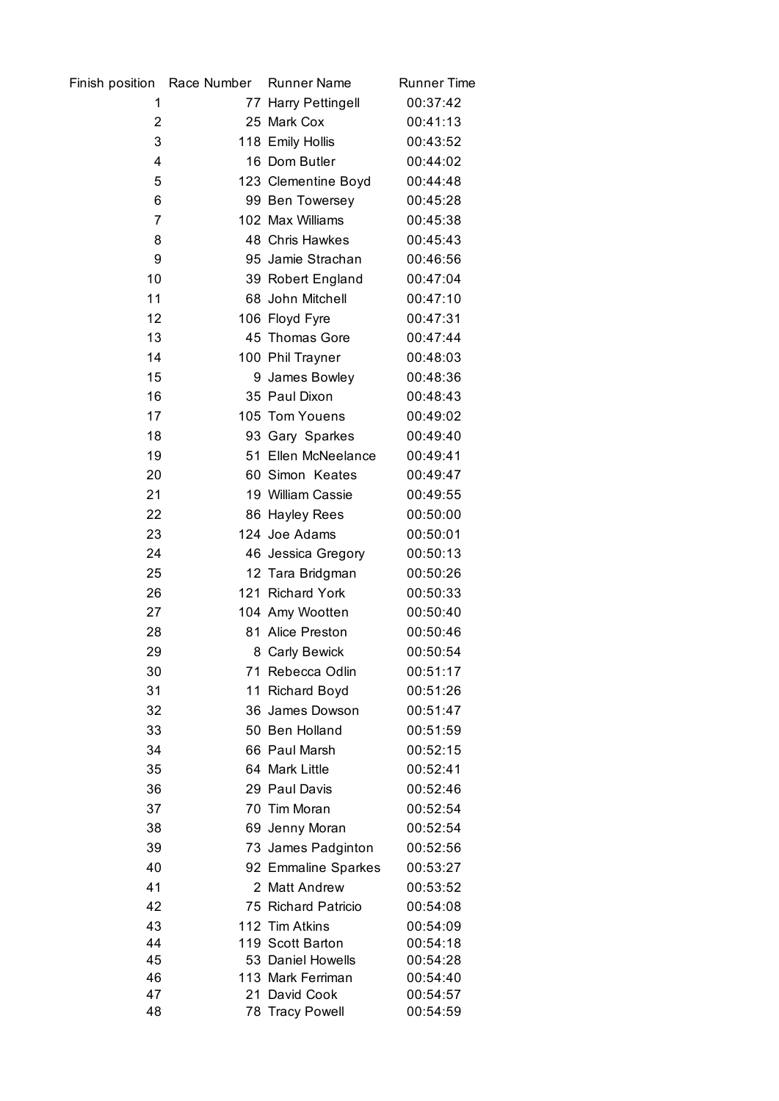| Finish position Race Number | <b>Runner Name</b>                 | <b>Runner Time</b>   |
|-----------------------------|------------------------------------|----------------------|
| 1                           | 77 Harry Pettingell                | 00:37:42             |
| 2                           | 25 Mark Cox                        | 00:41:13             |
| 3                           | 118 Emily Hollis                   | 00:43:52             |
| 4                           | 16 Dom Butler                      | 00:44:02             |
| 5                           | 123 Clementine Boyd                | 00:44:48             |
| 6                           | 99 Ben Towersey                    | 00:45:28             |
| 7                           | 102 Max Williams                   | 00:45:38             |
| 8                           | 48 Chris Hawkes                    | 00:45:43             |
| 9                           | 95 Jamie Strachan                  | 00:46:56             |
| 10                          | 39 Robert England                  | 00:47:04             |
| 11                          | 68 John Mitchell                   | 00:47:10             |
| 12                          | 106 Floyd Fyre                     | 00:47:31             |
| 13                          | 45 Thomas Gore                     | 00:47:44             |
| 14                          | 100 Phil Trayner                   | 00:48:03             |
| 15                          | 9 James Bowley                     | 00:48:36             |
| 16                          | 35 Paul Dixon                      | 00:48:43             |
| 17                          | 105 Tom Youens                     | 00:49:02             |
| 18                          | 93 Gary Sparkes                    | 00:49:40             |
| 19                          | 51 Ellen McNeelance                | 00:49:41             |
| 20                          | 60 Simon Keates                    | 00:49:47             |
| 21                          | 19 William Cassie                  | 00:49:55             |
| 22                          | 86 Hayley Rees                     | 00:50:00             |
| 23                          | 124 Joe Adams                      | 00:50:01             |
| 24                          | 46 Jessica Gregory                 | 00:50:13             |
| 25                          | 12 Tara Bridgman                   | 00:50:26             |
| 26                          | 121 Richard York                   | 00:50:33             |
| 27                          | 104 Amy Wootten                    | 00:50:40             |
| 28                          | 81 Alice Preston                   | 00:50:46             |
| 29                          | 8 Carly Bewick                     | 00:50:54             |
| 30                          | 71 Rebecca Odlin                   | 00:51:17             |
| 31                          | 11 Richard Boyd                    | 00:51:26             |
| 32                          | 36 James Dowson                    | 00:51:47             |
| 33                          | 50 Ben Holland                     | 00:51:59             |
| 34                          | 66 Paul Marsh                      | 00:52:15             |
| 35                          | 64 Mark Little                     | 00:52:41             |
| 36                          | 29 Paul Davis                      | 00:52:46             |
| 37                          | 70 Tim Moran                       | 00:52:54             |
| 38                          | 69 Jenny Moran                     | 00:52:54             |
| 39                          | 73 James Padginton                 | 00:52:56             |
| 40                          | 92 Emmaline Sparkes                | 00:53:27             |
| 41                          | 2 Matt Andrew                      | 00:53:52             |
| 42                          | 75 Richard Patricio                | 00:54:08             |
| 43<br>44                    | 112 Tim Atkins<br>119 Scott Barton | 00:54:09<br>00:54:18 |
| 45                          | 53 Daniel Howells                  | 00:54:28             |
| 46                          | 113 Mark Ferriman                  | 00:54:40             |
| 47                          | 21 David Cook                      | 00:54:57             |
| 48                          | 78 Tracy Powell                    | 00:54:59             |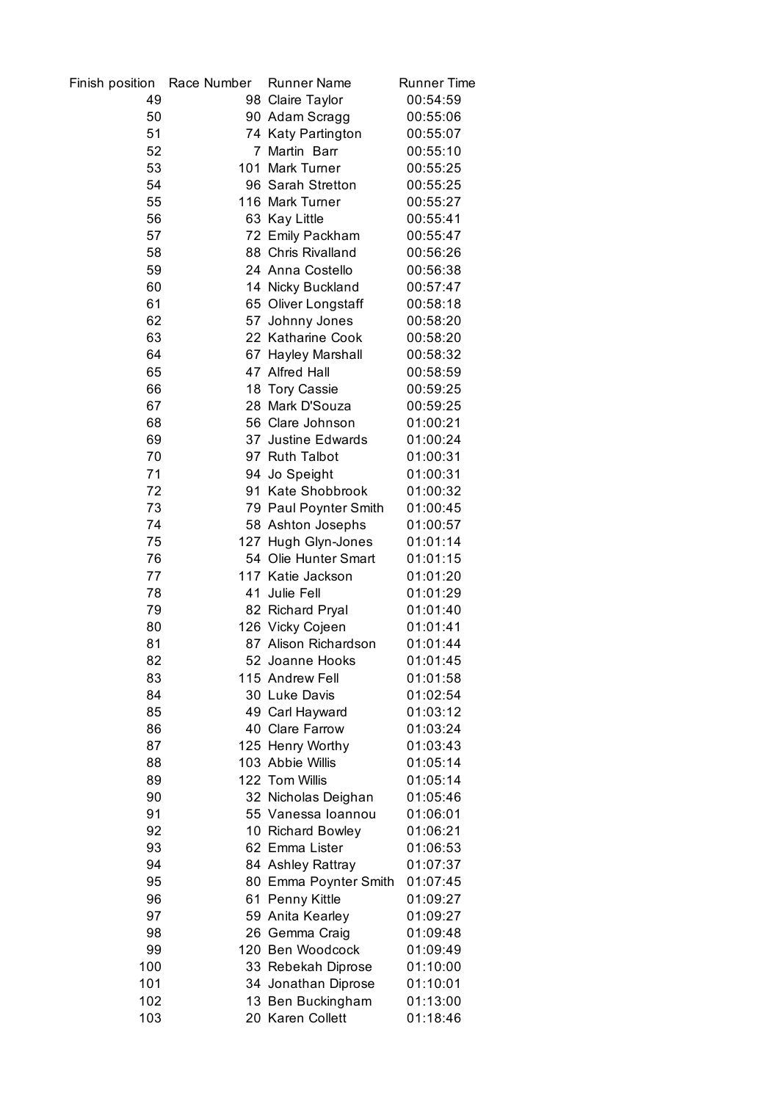| Finish position | Race Number | <b>Runner Name</b>    | <b>Runner Time</b> |
|-----------------|-------------|-----------------------|--------------------|
| 49              |             | 98 Claire Taylor      | 00:54:59           |
| 50              |             | 90 Adam Scragg        | 00:55:06           |
| 51              |             | 74 Katy Partington    | 00:55:07           |
| 52              |             | 7 Martin Barr         | 00:55:10           |
| 53              |             | 101 Mark Turner       | 00:55:25           |
| 54              |             | 96 Sarah Stretton     | 00:55:25           |
| 55              |             | 116 Mark Turner       | 00:55:27           |
| 56              |             | 63 Kay Little         | 00:55:41           |
| 57              |             | 72 Emily Packham      | 00:55:47           |
| 58              |             | 88 Chris Rivalland    | 00:56:26           |
| 59              |             | 24 Anna Costello      | 00:56:38           |
| 60              |             | 14 Nicky Buckland     | 00:57:47           |
| 61              |             | 65 Oliver Longstaff   | 00:58:18           |
| 62              |             | 57 Johnny Jones       | 00:58:20           |
| 63              |             | 22 Katharine Cook     | 00:58:20           |
| 64              |             | 67 Hayley Marshall    | 00:58:32           |
| 65              |             | 47 Alfred Hall        | 00:58:59           |
| 66              |             | 18 Tory Cassie        | 00:59:25           |
| 67              |             | 28 Mark D'Souza       | 00:59:25           |
| 68              |             | 56 Clare Johnson      | 01:00:21           |
| 69              |             | 37 Justine Edwards    | 01:00:24           |
| 70              |             | 97 Ruth Talbot        | 01:00:31           |
| 71              |             | 94 Jo Speight         | 01:00:31           |
| 72              |             | 91 Kate Shobbrook     | 01:00:32           |
| 73              |             | 79 Paul Poynter Smith | 01:00:45           |
| 74              |             | 58 Ashton Josephs     | 01:00:57           |
| 75              |             | 127 Hugh Glyn-Jones   | 01:01:14           |
| 76              |             | 54 Olie Hunter Smart  | 01:01:15           |
| 77              |             | 117 Katie Jackson     | 01:01:20           |
| 78              |             | 41 Julie Fell         | 01:01:29           |
| 79              |             | 82 Richard Pryal      | 01:01:40           |
| 80              |             | 126 Vicky Cojeen      | 01:01:41           |
| 81              |             | 87 Alison Richardson  | 01:01:44           |
| 82              |             | 52 Joanne Hooks       | 01:01:45           |
| 83              |             | 115 Andrew Fell       | 01:01:58           |
| 84              |             | 30 Luke Davis         | 01:02:54           |
| 85              |             | 49 Carl Hayward       | 01:03:12           |
| 86              |             | 40 Clare Farrow       | 01:03:24           |
| 87              |             | 125 Henry Worthy      | 01:03:43           |
| 88              |             | 103 Abbie Willis      | 01:05:14           |
| 89              |             | 122 Tom Willis        | 01:05:14           |
| 90              |             | 32 Nicholas Deighan   | 01:05:46           |
| 91              |             | 55 Vanessa Ioannou    | 01:06:01           |
| 92              |             | 10 Richard Bowley     | 01:06:21           |
| 93              |             | 62 Emma Lister        | 01:06:53           |
| 94              |             | 84 Ashley Rattray     | 01:07:37           |
| 95              |             | 80 Emma Poynter Smith | 01:07:45           |
| 96              |             | 61 Penny Kittle       | 01:09:27           |
| 97              |             | 59 Anita Kearley      | 01:09:27           |
| 98              |             | 26 Gemma Craig        | 01:09:48           |
| 99              |             | 120 Ben Woodcock      | 01:09:49           |
| 100             |             | 33 Rebekah Diprose    | 01:10:00           |
| 101             |             | 34 Jonathan Diprose   | 01:10:01           |
| 102             |             | 13 Ben Buckingham     | 01:13:00           |
| 103             |             | 20 Karen Collett      | 01:18:46           |